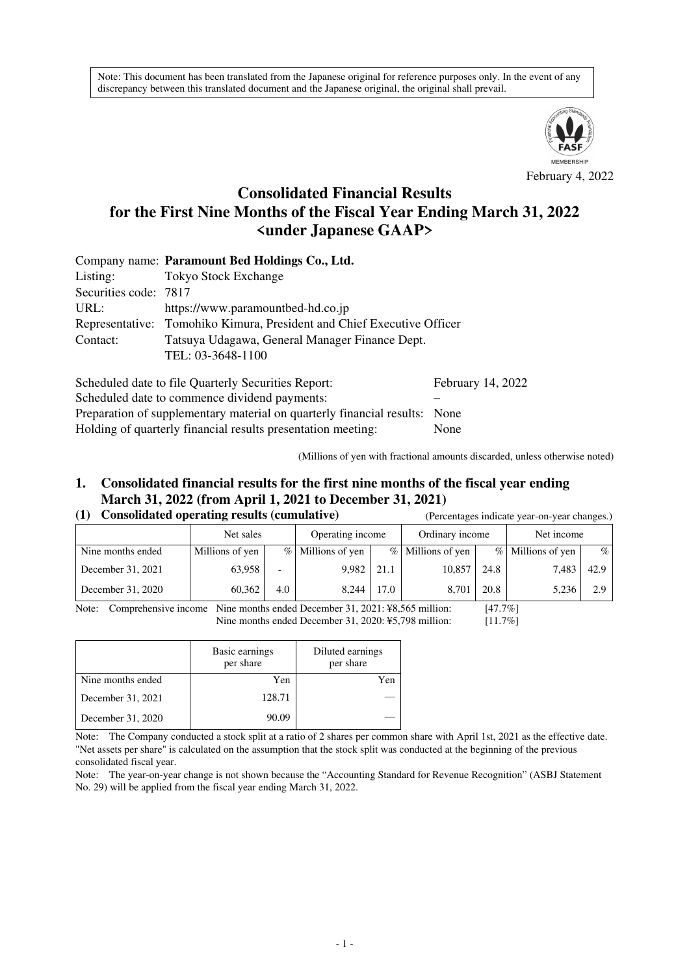Note: This document has been translated from the Japanese original for reference purposes only. In the event of any discrepancy between this translated document and the Japanese original, the original shall prevail.



February 4, 2022

# **Consolidated Financial Results for the First Nine Months of the Fiscal Year Ending March 31, 2022 <under Japanese GAAP>**

|                       | Company name: Paramount Bed Holdings Co., Ltd.                         |                   |  |  |  |  |  |  |
|-----------------------|------------------------------------------------------------------------|-------------------|--|--|--|--|--|--|
| Listing:              | <b>Tokyo Stock Exchange</b>                                            |                   |  |  |  |  |  |  |
| Securities code: 7817 |                                                                        |                   |  |  |  |  |  |  |
| URL:                  | https://www.paramountbed-hd.co.jp                                      |                   |  |  |  |  |  |  |
|                       | Representative: Tomohiko Kimura, President and Chief Executive Officer |                   |  |  |  |  |  |  |
| Contact:              | Tatsuya Udagawa, General Manager Finance Dept.                         |                   |  |  |  |  |  |  |
|                       | TEL: 03-3648-1100                                                      |                   |  |  |  |  |  |  |
|                       | Scheduled date to file Quarterly Securities Report:                    | February 14, 2022 |  |  |  |  |  |  |

Scheduled date to commence dividend payments: Preparation of supplementary material on quarterly financial results: None Holding of quarterly financial results presentation meeting: None

(Millions of yen with fractional amounts discarded, unless otherwise noted)

# **1. Consolidated financial results for the first nine months of the fiscal year ending March 31, 2022 (from April 1, 2021 to December 31, 2021)**

#### **(1) Consolidated operating results (cumulative)** (Percentages indicate year-on-year changes.)

|                   |                 |     |                     | $\alpha$ creening to mention $\alpha$ and $\alpha$ and $\alpha$ changed. |                     |      |                   |      |
|-------------------|-----------------|-----|---------------------|--------------------------------------------------------------------------|---------------------|------|-------------------|------|
|                   | Net sales       |     | Operating income    |                                                                          | Ordinary income     |      | Net income        |      |
| Nine months ended | Millions of yen |     | $%$ Millions of yen |                                                                          | $%$ Millions of yen |      | % Millions of yen | $\%$ |
| December 31, 2021 | 63,958          | -   | 9,982               | 21.1                                                                     | 10,857              | 24.8 | 7,483             | 42.9 |
| December 31, 2020 | 60.362          | 4.0 | 8.244               | 17.0                                                                     | 8.701               | 20.8 | 5,236             | 2.9  |

Note: Comprehensive income Nine months ended December 31, 2021: ¥8,565 million: [47.7%] Nine months ended December 31, 2020: ¥5,798 million: [11.7%]

|                   | Basic earnings<br>per share | Diluted earnings<br>per share |  |
|-------------------|-----------------------------|-------------------------------|--|
| Nine months ended | Yen                         | Yen                           |  |
| December 31, 2021 | 128.71                      |                               |  |
| December 31, 2020 | 90.09                       |                               |  |

Note: The Company conducted a stock split at a ratio of 2 shares per common share with April 1st, 2021 as the effective date. "Net assets per share" is calculated on the assumption that the stock split was conducted at the beginning of the previous consolidated fiscal year.

Note: The year-on-year change is not shown because the "Accounting Standard for Revenue Recognition" (ASBJ Statement No. 29) will be applied from the fiscal year ending March 31, 2022.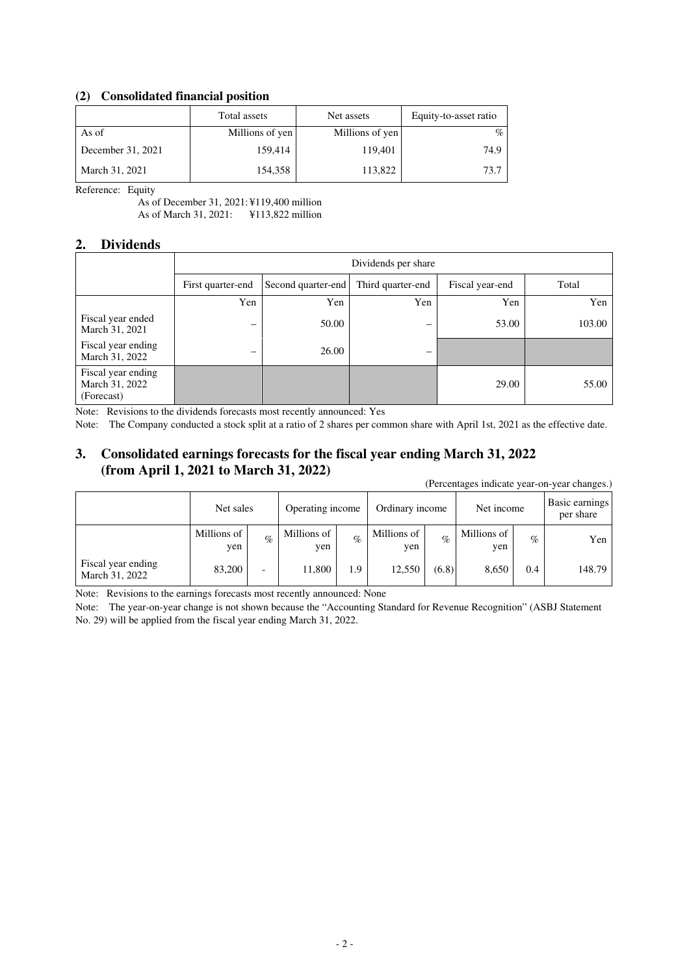## **(2) Consolidated financial position**

|                   | Total assets    | Net assets      | Equity-to-asset ratio |
|-------------------|-----------------|-----------------|-----------------------|
| As of             | Millions of yen | Millions of yen | $\%$                  |
| December 31, 2021 | 159,414         | 119,401         | 74.9                  |
| March 31, 2021    | 154,358         | 113,822         | 73.7                  |

Reference: Equity

As of December 31, 2021: ¥119,400 million As of March 31, 2021: ¥113,822 million

#### **2. Dividends**

|                                                    | Dividends per share      |                    |                          |                 |        |  |  |  |
|----------------------------------------------------|--------------------------|--------------------|--------------------------|-----------------|--------|--|--|--|
|                                                    | First quarter-end        | Second quarter-end | Third quarter-end        | Fiscal year-end | Total  |  |  |  |
|                                                    | Yen                      | Yen                | Yen                      | Yen             | Yen    |  |  |  |
| Fiscal year ended<br>March 31, 2021                | $\overline{\phantom{0}}$ | 50.00              | $\overline{\phantom{0}}$ | 53.00           | 103.00 |  |  |  |
| Fiscal year ending<br>March 31, 2022               |                          | 26.00              |                          |                 |        |  |  |  |
| Fiscal year ending<br>March 31, 2022<br>(Forecast) |                          |                    |                          | 29.00           | 55.00  |  |  |  |

Note: Revisions to the dividends forecasts most recently announced: Yes

Note: The Company conducted a stock split at a ratio of 2 shares per common share with April 1st, 2021 as the effective date.

# **3. Consolidated earnings forecasts for the fiscal year ending March 31, 2022 (from April 1, 2021 to March 31, 2022)**

(Percentages indicate year-on-year changes.)

|                                      | Net sales          |      | Operating income   |      | Ordinary income    |       | Net income         |      | Basic earnings<br>per share |
|--------------------------------------|--------------------|------|--------------------|------|--------------------|-------|--------------------|------|-----------------------------|
|                                      | Millions of<br>yen | $\%$ | Millions of<br>yen | $\%$ | Millions of<br>ven | $\%$  | Millions of<br>yen | $\%$ | Yen                         |
| Fiscal year ending<br>March 31, 2022 | 83,200             | -    | 11,800             | 1.9  | 12,550             | (6.8) | 8.650              | 0.4  | 148.79                      |

Note: Revisions to the earnings forecasts most recently announced: None

Note: The year-on-year change is not shown because the "Accounting Standard for Revenue Recognition" (ASBJ Statement No. 29) will be applied from the fiscal year ending March 31, 2022.